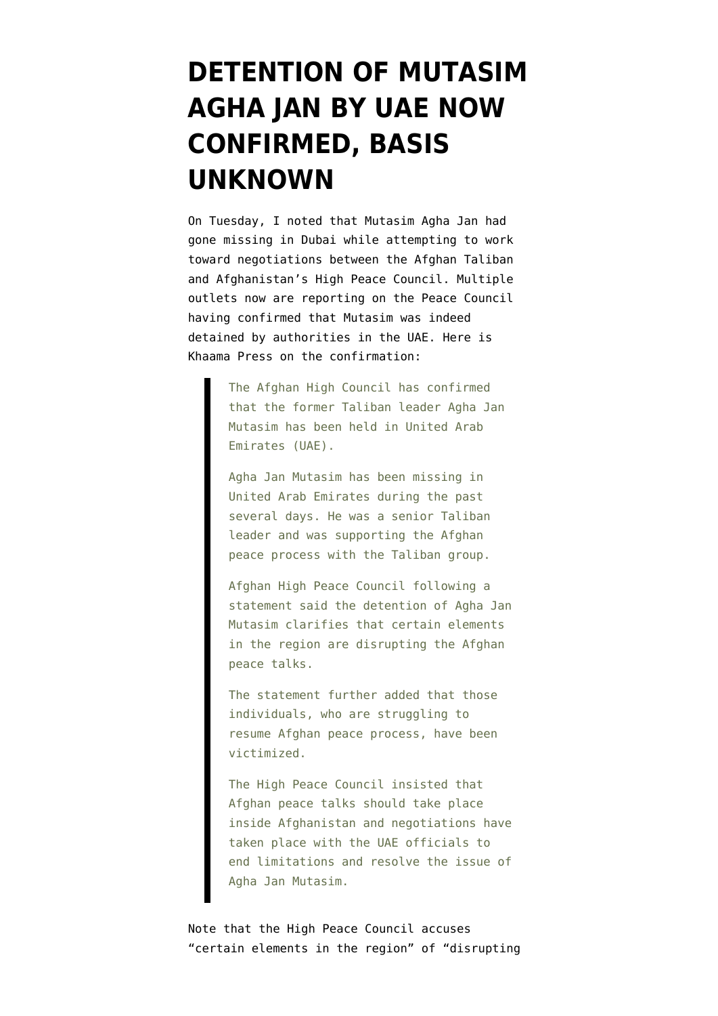## **[DETENTION OF MUTASIM](https://www.emptywheel.net/2014/04/18/detention-of-mutasim-agha-jan-by-uae-now-confirmed-basis-unknown/) [AGHA JAN BY UAE NOW](https://www.emptywheel.net/2014/04/18/detention-of-mutasim-agha-jan-by-uae-now-confirmed-basis-unknown/) [CONFIRMED, BASIS](https://www.emptywheel.net/2014/04/18/detention-of-mutasim-agha-jan-by-uae-now-confirmed-basis-unknown/) [UNKNOWN](https://www.emptywheel.net/2014/04/18/detention-of-mutasim-agha-jan-by-uae-now-confirmed-basis-unknown/)**

On Tuesday, I noted that [Mutasim Agha Jan had](http://www.emptywheel.net/2014/04/15/who-nabbed-mutasim-agha-jan-in-dubai/) [gone missing in Dubai](http://www.emptywheel.net/2014/04/15/who-nabbed-mutasim-agha-jan-in-dubai/) while attempting to work toward negotiations between the Afghan Taliban and Afghanistan's High Peace Council. Multiple outlets now are reporting on the Peace Council having confirmed that Mutasim was indeed detained by authorities in the UAE. Here is [Khaama Press on the confirmation:](http://www.khaama.com/former-taliban-leader-agha-jan-mutasim-has-been-held-in-uae-6005)

> The Afghan High Council has confirmed that the former Taliban leader Agha Jan Mutasim has been held in United Arab Emirates (UAE).

Agha Jan Mutasim has been missing in United Arab Emirates during the past several days. He was a senior Taliban leader and was supporting the Afghan peace process with the Taliban group.

Afghan High Peace Council following a statement said the detention of Agha Jan Mutasim clarifies that certain elements in the region are disrupting the Afghan peace talks.

The statement further added that those individuals, who are struggling to resume Afghan peace process, have been victimized.

The High Peace Council insisted that Afghan peace talks should take place inside Afghanistan and negotiations have taken place with the UAE officials to end limitations and resolve the issue of Agha Jan Mutasim.

Note that the High Peace Council accuses "certain elements in the region" of "disrupting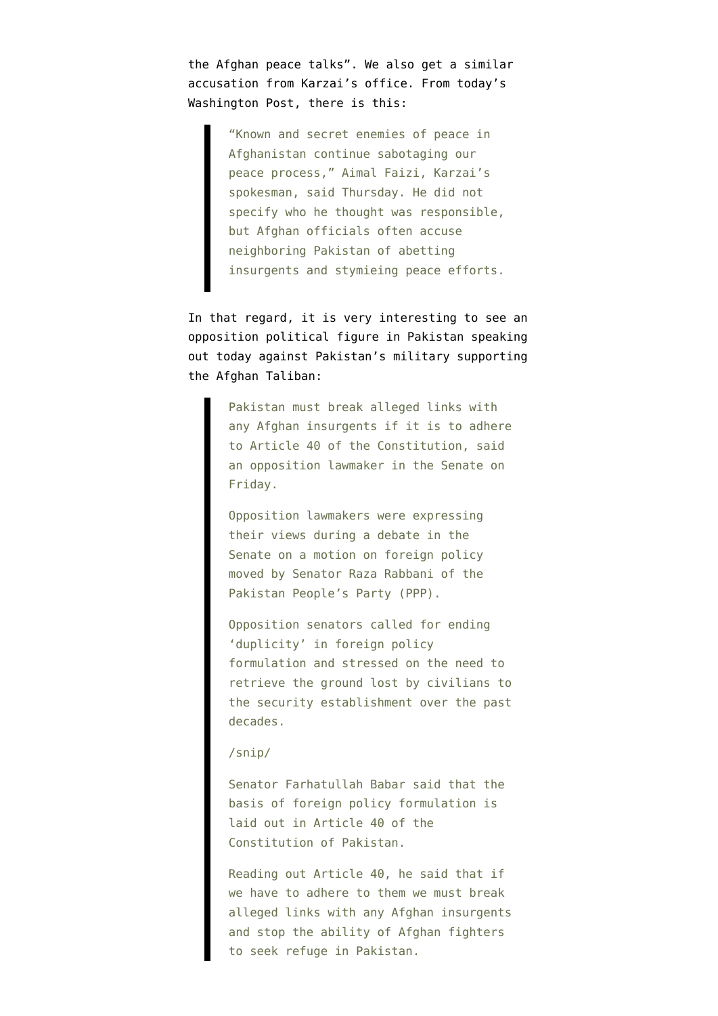the Afghan peace talks". We also get a similar accusation from Karzai's office. From [today's](http://www.washingtonpost.com/world/detention-of-taliban-commander-by-uae-disrupts-afghan-peace-talks/2014/04/17/d268300d-8035-4ee5-835c-b2bd7a40d05e_story.html?tid=hpModule_04941f10-8a79-11e2-98d9-3012c1cd8d1e) [Washington Post, there is this:](http://www.washingtonpost.com/world/detention-of-taliban-commander-by-uae-disrupts-afghan-peace-talks/2014/04/17/d268300d-8035-4ee5-835c-b2bd7a40d05e_story.html?tid=hpModule_04941f10-8a79-11e2-98d9-3012c1cd8d1e)

> "Known and secret enemies of peace in Afghanistan continue sabotaging our peace process," Aimal Faizi, Karzai's spokesman, said Thursday. He did not specify who he thought was responsible, but Afghan officials often accuse neighboring Pakistan of abetting insurgents and stymieing peace efforts.

In that regard, it is very interesting to see an [opposition political figure in Pakistan speaking](http://www.dawn.com/news/1100749/pakistan-must-break-alleged-links-with-afghan-insurgents) [out today](http://www.dawn.com/news/1100749/pakistan-must-break-alleged-links-with-afghan-insurgents) against Pakistan's military supporting the Afghan Taliban:

> Pakistan must break alleged links with any Afghan insurgents if it is to adhere to Article 40 of the Constitution, said an opposition lawmaker in the Senate on Friday.

Opposition lawmakers were expressing their views during a debate in the Senate on a motion on foreign policy moved by Senator Raza Rabbani of the Pakistan People's Party (PPP).

Opposition senators called for ending 'duplicity' in foreign policy formulation and stressed on the need to retrieve the ground lost by civilians to the security establishment over the past decades.

## /snip/

Senator Farhatullah Babar said that the basis of foreign policy formulation is laid out in Article 40 of the Constitution of Pakistan.

Reading out Article 40, he said that if we have to adhere to them we must break alleged links with any Afghan insurgents and stop the ability of Afghan fighters to seek refuge in Pakistan.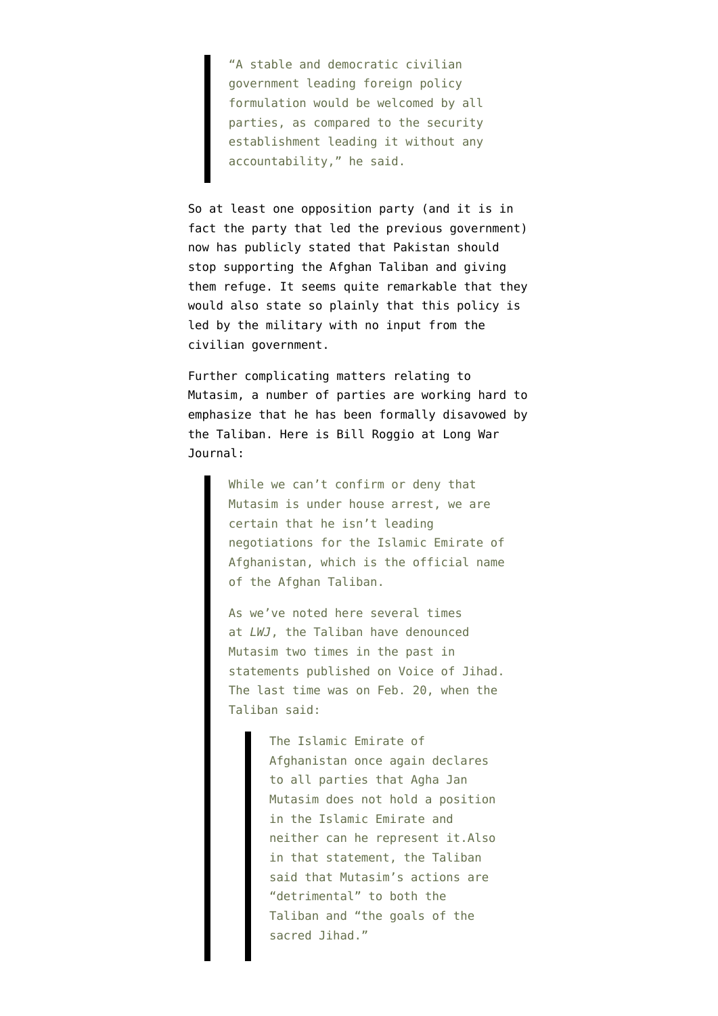"A stable and democratic civilian government leading foreign policy formulation would be welcomed by all parties, as compared to the security establishment leading it without any accountability," he said.

So at least one opposition party (and it is in fact the party that led the previous government) now has publicly stated that Pakistan should stop supporting the Afghan Taliban and giving them refuge. It seems quite remarkable that they would also state so plainly that this policy is led by the military with no input from the civilian government.

Further complicating matters relating to Mutasim, a number of parties are working hard to emphasize that he has been formally disavowed by the Taliban. Here is [Bill Roggio at Long War](http://www.longwarjournal.org/threat-matrix/archives/2014/04/is_the_talibans_negotiator_und.php) [Journal:](http://www.longwarjournal.org/threat-matrix/archives/2014/04/is_the_talibans_negotiator_und.php)

> While we can't confirm or deny that Mutasim is under house arrest, we are certain that he isn't leading negotiations for the Islamic Emirate of Afghanistan, which is the official name of the Afghan Taliban.

> As we've noted here several times at *LWJ*, the Taliban have denounced Mutasim two times in the past in statements published on Voice of Jihad. The last time was on Feb. 20, when the Taliban said:

> > The Islamic Emirate of Afghanistan once again declares to all parties that Agha Jan Mutasim does not hold a position in the Islamic Emirate and neither can he represent it.Also in that statement, the Taliban said that Mutasim's actions are "detrimental" to both the Taliban and "the goals of the sacred Jihad."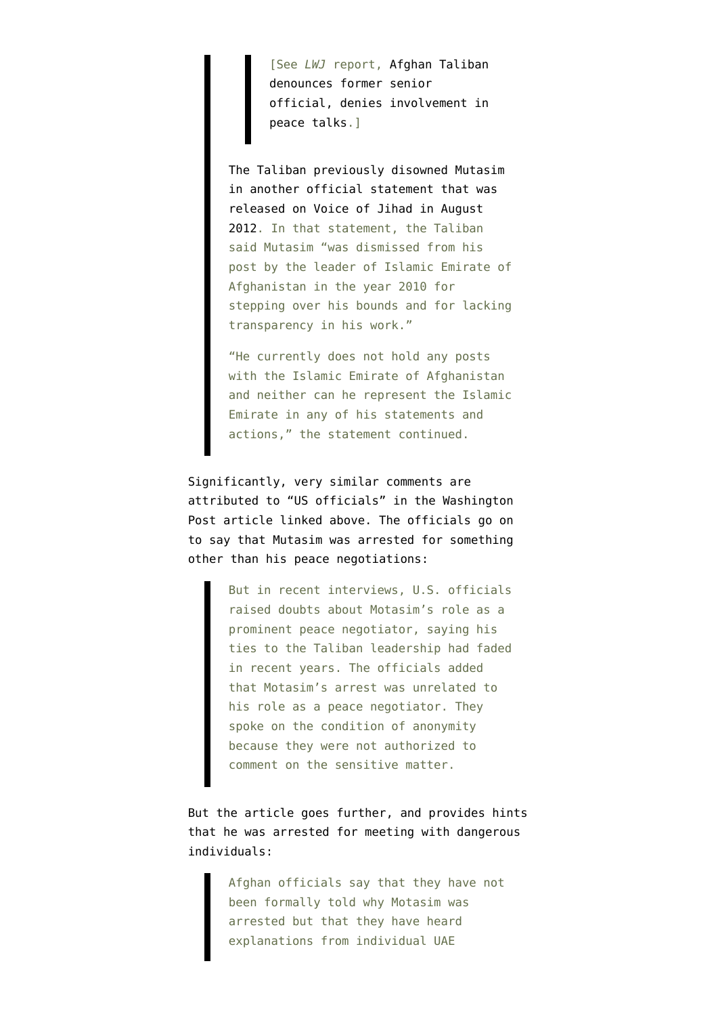[See *LWJ* report, [Afghan Taliban](http://www.longwarjournal.org/archives/2014/02/afghan_taliban_denou_1.php) [denounces former senior](http://www.longwarjournal.org/archives/2014/02/afghan_taliban_denou_1.php) [official, denies involvement in](http://www.longwarjournal.org/archives/2014/02/afghan_taliban_denou_1.php) [peace talks.](http://www.longwarjournal.org/archives/2014/02/afghan_taliban_denou_1.php)]

[The Taliban previously disowned Mutasim](http://shahamat-english.com/index.php/paighamoona/28805-clarification-of-islamic-emirate-regarding-agha-jan-motasim) [in another official statement that was](http://shahamat-english.com/index.php/paighamoona/28805-clarification-of-islamic-emirate-regarding-agha-jan-motasim) [released on Voice of Jihad in August](http://shahamat-english.com/index.php/paighamoona/28805-clarification-of-islamic-emirate-regarding-agha-jan-motasim) [2012](http://shahamat-english.com/index.php/paighamoona/28805-clarification-of-islamic-emirate-regarding-agha-jan-motasim). In that statement, the Taliban said Mutasim "was dismissed from his post by the leader of Islamic Emirate of Afghanistan in the year 2010 for stepping over his bounds and for lacking transparency in his work."

"He currently does not hold any posts with the Islamic Emirate of Afghanistan and neither can he represent the Islamic Emirate in any of his statements and actions," the statement continued.

Significantly, very similar comments are attributed to "US officials" in the Washington Post article linked above. The officials go on to say that Mutasim was arrested for something other than his peace negotiations:

> But in recent interviews, U.S. officials raised doubts about Motasim's role as a prominent peace negotiator, saying his ties to the Taliban leadership had faded in recent years. The officials added that Motasim's arrest was unrelated to his role as a peace negotiator. They spoke on the condition of anonymity because they were not authorized to comment on the sensitive matter.

But the article goes further, and provides hints that he was arrested for meeting with dangerous individuals:

> Afghan officials say that they have not been formally told why Motasim was arrested but that they have heard explanations from individual UAE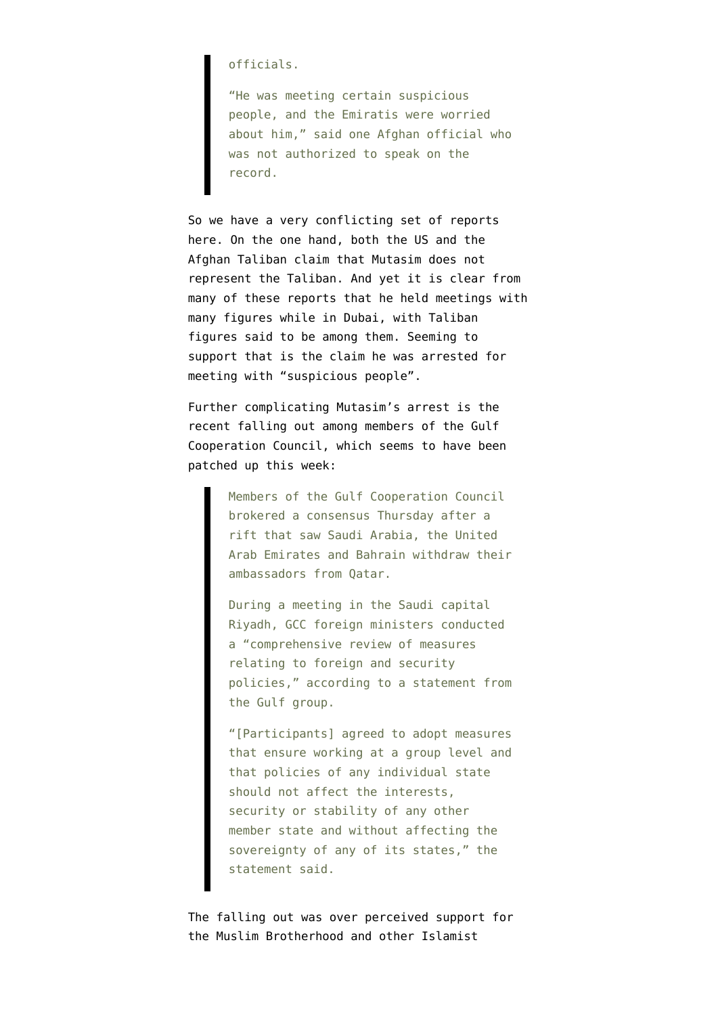## officials.

"He was meeting certain suspicious people, and the Emiratis were worried about him," said one Afghan official who was not authorized to speak on the record.

So we have a very conflicting set of reports here. On the one hand, both the US and the Afghan Taliban claim that Mutasim does not represent the Taliban. And yet it is clear from many of these reports that he held meetings with many figures while in Dubai, with Taliban figures said to be among them. Seeming to support that is the claim he was arrested for meeting with "suspicious people".

Further complicating Mutasim's arrest is the recent falling out among members of the Gulf Cooperation Council, which seems to have been [patched up this week](http://english.alarabiya.net/en/News/middle-east/2014/04/18/Gulf-states-come-to-consensus-after-rift.html):

> Members of the Gulf Cooperation Council brokered a consensus Thursday after a rift that saw Saudi Arabia, the United Arab Emirates and Bahrain withdraw their ambassadors from Qatar.

> During a meeting in the Saudi capital Riyadh, GCC foreign ministers conducted a "comprehensive review of measures relating to foreign and security policies," according to a statement from the Gulf group.

> "[Participants] agreed to adopt measures that ensure working at a group level and that policies of any individual state should not affect the interests, security or stability of any other member state and without affecting the sovereignty of any of its states," the statement said.

The falling out was over perceived support for the Muslim Brotherhood and other Islamist